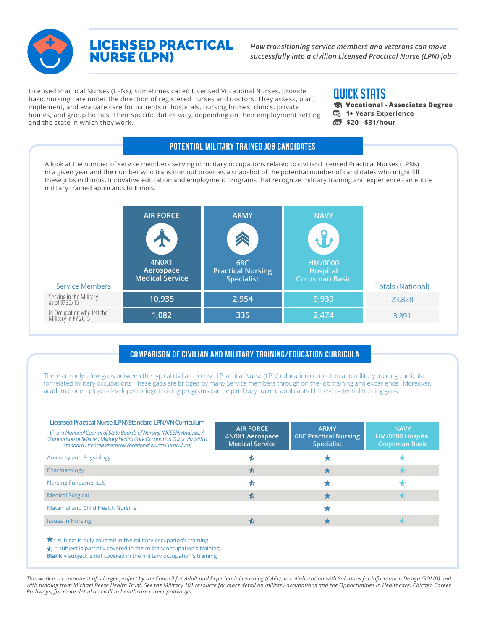

## LICENSED PRACTICAL NURSE (LPN)

*How transitioning service members and veterans can move successfully into a civilian Licensed Practical Nurse (LPN) job*

Licensed Practical Nurses (LPNs), sometimes called Licensed Vocational Nurses, provide basic nursing care under the direction of registered nurses and doctors. They assess, plan, implement, and evaluate care for patients in hospitals, nursing homes, clinics, private homes, and group homes. Their specific duties vary, depending on their employment setting and the state in which they work.

## QUICK STATS

- **Vocational Associates Degree 1+ Years Experience**
- **\$20 \$31/hour**

A look at the number of service members serving in military occupations related to civilian Licensed Practical Nurses (LPNs) in a given year and the number who transition out provides a snapshot of the potential number of candidates who might fill these jobs in Illinois. Innovative education and employment programs that recognize military training and experience can entice military trained applicants to Illinois.

Potential Military Trained Job Candidates

| <b>4N0X1</b><br>Aerospace<br><b>Medical Service</b><br><b>Service Members</b> | X<br>68C<br><b>Practical Nursing</b><br><b>Specialist</b> | HM/0000<br>Hospital<br><b>Corpsman Basic</b> |                          |
|-------------------------------------------------------------------------------|-----------------------------------------------------------|----------------------------------------------|--------------------------|
|                                                                               |                                                           |                                              | <b>Totals (National)</b> |
| Serving in the Military<br>as of 9/30/15<br>10,935                            | 2,954                                                     | 9,939                                        | 23,828                   |
| In Occupation who left the<br>Military in FY 2015<br>1,082                    | 335                                                       | 2,474                                        | 3,891                    |

## Comparison of Civilian and Military Training/Education Curricula

There are only a few gaps between the typical civilian Licensed Practical Nurse (LPN) education curriculum and military training curricula for related military occupations. These gaps are bridged by many Service members through on the-job training and experience. Moreover, academic or employer-developed bridge training programs can help military trained applicants fill these potential training gaps.

| Licensed Practical Nurse (LPN) Standard LPN/VN Curriculum<br>(From National Council of State Boards of Nursing (NCSBN) Analysis: A<br>Comparison of Selected Military Health Care Occupation Curricula with a<br><b>Standard Licensed Practical/Vocational Nurse Curriculum)</b> | <b>AIR FORCE</b><br>4N0X1 Aerospace<br><b>Medical Service</b> | <b>ARMY</b><br><b>68C Practical Nursing</b><br><b>Specialist</b> | <b>NAVY</b><br>HM/0000 Hospital<br>Corpsman Basic |
|----------------------------------------------------------------------------------------------------------------------------------------------------------------------------------------------------------------------------------------------------------------------------------|---------------------------------------------------------------|------------------------------------------------------------------|---------------------------------------------------|
| Anatomy and Physiology                                                                                                                                                                                                                                                           |                                                               |                                                                  |                                                   |
| Pharmacology                                                                                                                                                                                                                                                                     | ₩                                                             |                                                                  |                                                   |
| <b>Nursing Fundamentals</b>                                                                                                                                                                                                                                                      |                                                               |                                                                  |                                                   |
| <b>Medical Surgical</b>                                                                                                                                                                                                                                                          |                                                               |                                                                  |                                                   |
| Maternal and Child Health Nursing                                                                                                                                                                                                                                                |                                                               |                                                                  |                                                   |
| <b>Issues in Nursing</b>                                                                                                                                                                                                                                                         |                                                               |                                                                  |                                                   |
|                                                                                                                                                                                                                                                                                  |                                                               |                                                                  |                                                   |

 $\bigstar$  = subject is fully covered in the military occupation's training

 $\blacklozenge$  = subject is partially covered in the military occupation's training

**Blank** = subject is not covered in the military occupation's training

*This work is a component of a larger project by the Council for Adult and Experiential Learning (CAEL), in collaboration with Solutions for Information Design (SOLID) and with funding from Michael Reese Health Trust. See the Military 101 resource for more detail on military occupations and the Opportunities in Healthcare: Chicago Career Pathways, for more detail on civilian healthcare career pathways.*